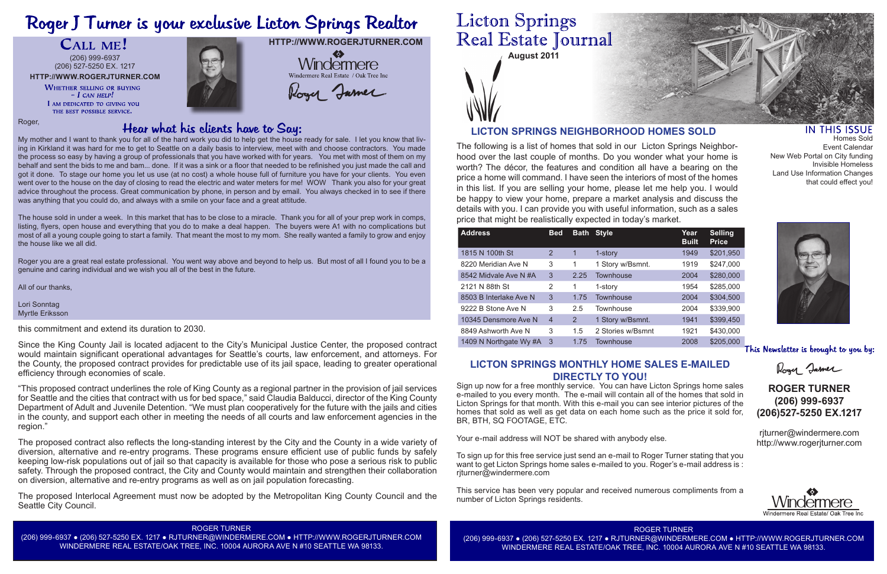# Roger J Turner is your exclusive Licton Springs Realtor

CALL ME!

**August 2011**

The following is a list of homes that sold in our Licton Springs Neighborhood over the last couple of months. Do you wonder what your home is worth? The décor, the features and condition all have a bearing on the price a home will command. I have seen the interiors of most of the homes in this list. If you are selling your home, please let me help you. I would be happy to view your home, prepare a market analysis and discuss the details with you. I can provide you with useful information, such as a sales price that might be realistically expected in today's market.

**HTTP://WWW.ROGERJTURNER.COM**  $\clubsuit$ Windermere Windermere Real Estate / Oak Tree Inc

Roger Jamer

# **Licton Springs** Real Estate Journal

# **LICTON SPRINGS NEIGHBORHOOD HOMES SOLD**

| <b>Address</b>         | <b>Bed</b>     | <b>Bath</b> | <b>Style</b>      | Year<br><b>Built</b> | <b>Selling</b><br><b>Price</b> |
|------------------------|----------------|-------------|-------------------|----------------------|--------------------------------|
| 1815 N 100th St        | 2              | 1           | 1-story           | 1949                 | \$201,950                      |
| 8220 Meridian Ave N    | 3              | 1           | 1 Story w/Bsmnt.  | 1919                 | \$247,000                      |
| 8542 Midvale Ave N #A  | 3              | 2.25        | <b>Townhouse</b>  | 2004                 | \$280,000                      |
| 2121 N 88th St         | 2              | 1           | 1-story           | 1954                 | \$285,000                      |
| 8503 B Interlake Ave N | 3              | 1.75        | Townhouse         | 2004                 | \$304,500                      |
| 9222 B Stone Ave N     | 3              | 2.5         | Townhouse         | 2004                 | \$339,900                      |
| 10345 Densmore Ave N   | $\overline{4}$ | 2           | 1 Story w/Bsmnt.  | 1941                 | \$399,450                      |
| 8849 Ashworth Ave N    | 3              | 1.5         | 2 Stories w/Bsmnt | 1921                 | \$430,000                      |
| 1409 N Northgate Wy #A | -3             | 1.75        | Townhouse         | 2008                 | \$205,000                      |

Roger,

My mother and I want to thank you for all of the hard work you did to help get the house ready for sale. I let you know that living in Kirkland it was hard for me to get to Seattle on a daily basis to interview, meet with and choose contractors. You made the process so easy by having a group of professionals that you have worked with for years. You met with most of them on my behalf and sent the bids to me and bam... done. If it was a sink or a floor that needed to be refinished you just made the call and got it done. To stage our home you let us use (at no cost) a whole house full of furniture you have for your clients. You even went over to the house on the day of closing to read the electric and water meters for me! WOW Thank you also for your great advice throughout the process. Great communication by phone, in person and by email. You always checked in to see if there was anything that you could do, and always with a smile on your face and a great attitude.

The house sold in under a week. In this market that has to be close to a miracle. Thank you for all of your prep work in comps, listing, flyers, open house and everything that you do to make a deal happen. The buyers were A1 with no complications but most of all a young couple going to start a family. That meant the most to my mom. She really wanted a family to grow and enjoy the house like we all did.

Roger you are a great real estate professional. You went way above and beyond to help us. But most of all I found you to be a genuine and caring individual and we wish you all of the best in the future.

All of our thanks,

Lori Sonntag Myrtle Eriksson

#### ROGER TURNER

(206) 999-6937 ● (206) 527-5250 EX. 1217 ● RJTURNER@WINDERMERE.COM ● HTTP://WWW.ROGERJTURNER.COM WINDERMERE REAL ESTATE/OAK TREE, INC. 10004 AURORA AVE N #10 SEATTLE WA 98133.

ROGER TURNER (206) 999-6937 ● (206) 527-5250 EX. 1217 ● RJTURNER@WINDERMERE.COM ● HTTP://WWW.ROGERJTURNER.COM WINDERMERE REAL ESTATE/OAK TREE, INC. 10004 AURORA AVE N #10 SEATTLE WA 98133.



### IN THIS ISSUE

# **ROGER TURNER (206) 999-6937 (206)527-5250 EX.1217**

rjturner@windermere.com http://www.rogerjturner.com



**HTTP://WWW.ROGERJTURNER.COM** (206) 999-6937 (206) 527-5250 EX. 1217

> **WHETHER SELLING OR BUYING**  $-I$  CAN HELP! I AM DEDICATED TO GIVING YOU THE BEST POSSIBLE SERVICE.



## **LICTON SPRINGS MONTHLY HOME SALES E-MAILED DIRECTLY TO YOU!**

Sign up now for a free monthly service. You can have Licton Springs home sales e-mailed to you every month. The e-mail will contain all of the homes that sold in Licton Springs for that month. With this e-mail you can see interior pictures of the homes that sold as well as get data on each home such as the price it sold for, BR, BTH, SQ FOOTAGE, ETC.

Your e-mail address will NOT be shared with anybody else.

To sign up for this free service just send an e-mail to Roger Turner stating that you want to get Licton Springs home sales e-mailed to you. Roger's e-mail address is : rjturner@windermere.com

This service has been very popular and received numerous compliments from a number of Licton Springs residents.

# Hear what his clients have to Say:

Homes Sold Event Calendar New Web Portal on City funding Invisible Homeless Land Use Information Changes that could effect you!



This Newsletter is brought to you by:

Roger Jamer

this commitment and extend its duration to 2030.

Since the King County Jail is located adjacent to the City's Municipal Justice Center, the proposed contract would maintain significant operational advantages for Seattle's courts, law enforcement, and attorneys. For the County, the proposed contract provides for predictable use of its jail space, leading to greater operational efficiency through economies of scale.

"This proposed contract underlines the role of King County as a regional partner in the provision of jail services for Seattle and the cities that contract with us for bed space," said Claudia Balducci, director of the King County Department of Adult and Juvenile Detention. "We must plan cooperatively for the future with the jails and cities in the county, and support each other in meeting the needs of all courts and law enforcement agencies in the region."

The proposed contract also reflects the long-standing interest by the City and the County in a wide variety of diversion, alternative and re-entry programs. These programs ensure efficient use of public funds by safely keeping low-risk populations out of jail so that capacity is available for those who pose a serious risk to public safety. Through the proposed contract, the City and County would maintain and strengthen their collaboration on diversion, alternative and re-entry programs as well as on jail population forecasting.

The proposed Interlocal Agreement must now be adopted by the Metropolitan King County Council and the Seattle City Council.